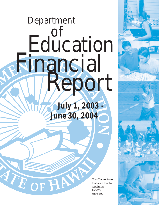# *July 1, 2003 - June 30, 2004* Department Education Financial Report

ATE OF HAN

Office of Business Services Department of Education State of Hawaii RS 05-0734 January 2005

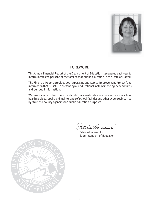

#### FOREWORD

This Annual Financial Report of the Department of Education is prepared each year to inform interested persons of the total cost of public education in the State of Hawaii.

The Financial Report provides both Operating and Capital Improvement Project fund information that is useful in presenting our educational system financing, expenditures and per pupil information.

We have included other operational costs that are allocable to education, such as school health services, repairs and maintenance of school facilities and other expenses incurred by state and county agencies for public education purposes.

sturio

Patricia Hamamoto Superintendent of Education

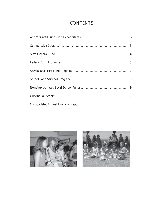## **CONTENTS**



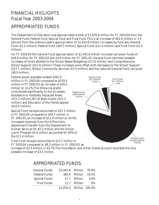# FINANCIAL HIGLIGHTS Fiscal Year 2003-2004

## APPROPRIATED FUNDS

The Department of Education was appropriated a total of \$1,876.4 million for FY 2003-04 from the General Fund, Federal Fund, Special Fund and Trust Fund. This is an increase of \$61.6 million or 3.4 percent from the previous year's appropriation of \$1,814.8 million. Increases by fund are: General Fund (\$1.2 million), Federal Fund (\$45.5 million), Special Fund (\$11.4 million) and Trust Fund (\$3.5 million).

For FY 2003-04 the General Fund appropriation of \$1,442.6 million included carryover funds of \$18.9 million for FY 2002-03 and \$3.8 million for FY 2001-02. General Fund recorded sizeable increases of funds allotted to the School Based Budgeting (\$17.6 million) and Comprehensive School Support (\$12.6 million). These increases were offset with decreases to the School Support (\$12.1 million), School Community Services (\$7.5 million) and the reduced General Fund carryover (\$8.9 million).

Federal grants available totaled \$365.0 million in FY 2003-04 compared to \$319.5 million in FY 2002-03, an increase of \$45.5 million or 14.2%. The following grants contributed significantly to the increases: Assistance to Federally Impacted Areas (\$15.2 million), NCLB State Grants (\$12.3 million) and Education of the Handicapped (\$10.0 million).

Special Fund receipts amounted to \$57.1 million in FY 2003-04 compared to \$45.7 million in FY 2002-03, an increase of \$11.4 million or 24.9%. Increased revenues from the A-Plus Intradepartment Transfer from the Department of Human Services for \$5.5 million and the School Lunch Program \$4.0 million accounted for 83% of the \$11.4 million.

Trust Fund receipts amounted to \$11.7 million in FY 2003-04 compared to \$8.2 million in FY 2002-03, an

Special Funds: \$57.1 Million (3.0%) Federal Funds: \$365.0 Million (19.5%) Trust Funds: \$11.7 Million (.6%)

General Funds: \$1,442.6 Million (76.9%)

increase of \$3.5 million or 42.7%. The Foundation and Other Grants account recorded the only sizeable increase of \$3.5 million.

#### APPROPRIATED FUNDS:

| <b>General Funds:</b> | \$1,442.6 Million 76.9%  |                     |        |
|-----------------------|--------------------------|---------------------|--------|
| <b>Federal Funds:</b> |                          | 365.0 Million 19.5% |        |
| <b>Special Funds:</b> |                          | 57.1 Million        | 3.0%   |
| <b>Trust Funds:</b>   |                          | 11.7 Million        | $.6\%$ |
|                       | \$1,876.4 Million 100.0% |                     |        |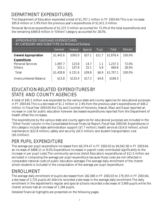# DEPARTMENT EXPENDITURES

The Department of Education expended a total of \$1,707.1 million in FY 2003-04. This is an increase \$95.8 million or 5.9% from the previous year's expenditures of \$1,611.3 million.

Personal Services expenditures of \$1,237.3 million accounted for 72.0% of the total expenditures and the remaining \$469.8 million in "Others" category accounted for 28.0%.

| <b>APPROPRIATED FUNDS AND EXPENDITURES</b><br>BY CATEGORY AND FUND TYPE (In Millions of Dollars) |           |         |                |              |              |         |
|--------------------------------------------------------------------------------------------------|-----------|---------|----------------|--------------|--------------|---------|
|                                                                                                  | General   | Federal | <b>Special</b> | <b>Trust</b> | <b>Total</b> | Percent |
| <b>General Appropriation</b>                                                                     | \$1,442.6 | \$365.0 | \$57.1         | \$11.7       | \$1,876.4    | 100.0%  |
| <b>Expenditures</b>                                                                              |           |         |                |              |              |         |
| <b>Personal Services</b>                                                                         | 1,097.7   | 123.8   | 14.7           | 1.1          | 1,237.3      | 72.0%   |
| <b>Others</b>                                                                                    | 331.1     | 107.8   | 25.1           | 5.8          | 469.8        | 28.0%   |
| <b>Total</b>                                                                                     | \$1,428.8 | S 231.6 | \$39.8         | <b>\$6.9</b> | \$1,707.1    | 100.0%  |
| <b>Unencumbered Balance</b>                                                                      | \$13.8    | \$133.4 | \$17.3         | \$4.8        | \$169.3      |         |

## EDUCATION-RELATED EXPENDITURES BY STATE AND COUNTY AGENCIES

A total of \$45.1 million was expended by the various state and county agencies for educational purposes in FY 2003-04. This is a decrease of \$1.1 million or 2.4% from the previous year's expenditures of \$46.2 million. In Fiscal Year 2003-04 the City and Counties of Honolulu, Hawaii, Maui and Kauai reported an increase in cost for public education however decreased expenditures reported from the Department of Health offset the increases.

The expenditures by the various state and county agencies for educational purposes are included in the "Other Funds" column in the Consolidated Annual Financial Report, Fiscal Year 2003-04. Expenditures in this category include state administration support (\$7.7 million), health services (\$14.0 million), school maintenance (\$22.8 million), safety and security (\$0.5 million) and student transportation cost (\$0.1million).

# PER PUPIL EXPENDITURE

The average per pupil expenditure increased from \$8,374.47 in FY 2002-03 to \$9,042.58 in FY 2003-04, an increase of \$668.11 or 8.0%. Expenditure increases in payroll costs contributed significantly to the increase in per pupil costs. The community services (Adult Education) expenditures of \$11.5 million are excluded in computing the average per pupil expenditure because those costs are not reflected in comparable national costs of public education averages. The average daily enrollment of the charter school students is included in the computation of the average per pupil expenditure.

# ENROLLMENT

The average daily enrollment of pupils decreased from 182,080 in FY 2002-03 to 179,355 in FY 2003-04, a decrease of 2,725 pupils. All districts recorded a decrease in the average daily enrollment. The daily enrollment in the department's regular and special schools recorded a decrease of 3,909 pupils while the charter schools had an increase of 1,184 pupils.

Detailed financial highlights are presented on the following pages.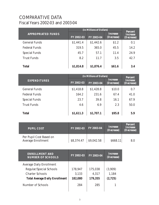#### COMPARATIVE DATA Fiscal Years 2002-03 and 2003-04

|                           | (In Millions of Dollars) | <b>Percent</b> |                               |                               |
|---------------------------|--------------------------|----------------|-------------------------------|-------------------------------|
| <b>APPROPRIATED FUNDS</b> | FY 2002-03               | FY 2003-04     | <b>Increase</b><br>(Decrease) | <b>Increase</b><br>(Decrease) |
| <b>General Funds</b>      | \$1,441.4                | \$1,442.6      | \$1.2                         | 0.1                           |
| <b>Federal Funds</b>      | 319.5                    | 365.0          | 45.5                          | 14.2                          |
| <b>Special Funds</b>      | 45.7                     | 57.1           | 11.4                          | 24.9                          |
| <b>Trust Funds</b>        | 8.2                      | 11.7           | 3.5                           | 42.7                          |
| <b>Total</b>              | \$1,814.8                | \$1,876.4      | <b>\$61.6</b>                 | 3.4                           |

|                      | (In Millions of Dollars) | <b>Percent</b> |                               |                               |
|----------------------|--------------------------|----------------|-------------------------------|-------------------------------|
| <b>EXPENDITURES</b>  | FY 2002-03               | FY 2003-04     | <b>Increase</b><br>(Decrease) | <b>Increase</b><br>(Decrease) |
| <b>General Funds</b> | \$1,418.8                | \$1,428.8      | \$10.0                        | 0.7                           |
| <b>Federal Funds</b> | 164.2                    | 231.6          | 67.4                          | 41.0                          |
| <b>Special Funds</b> | 23.7                     | 39.8           | 16.1                          | 67.9                          |
| <b>Trust Funds</b>   | 4.6                      | 6.9            | 2.3                           | 50.0                          |
| <b>Total</b>         | \$1,611.3                | \$1,707.1      | \$95.8                        | 5.9                           |

| <b>PUPIL COST</b>                                    | FY 2002-03 | <b>FY 2003-04</b> | <b>Increase</b><br>(Decrease) | <b>Percent</b><br><b>Increase</b><br>(Decrease) |
|------------------------------------------------------|------------|-------------------|-------------------------------|-------------------------------------------------|
| Per Pupil Cost Based on<br><b>Average Enrollment</b> | \$8,374.47 | \$9,042.58        | \$668.11                      | 8.0                                             |

| <b>ENROLLMENT AND</b><br><b>NUMBER OF SCHOOLS</b> | FY 2002-03 | FY 2003-04 | <b>Increase</b><br>(Decrease) |
|---------------------------------------------------|------------|------------|-------------------------------|
| <b>Average Daily Enrollment</b>                   |            |            |                               |
| <b>Regular/Special Schools</b>                    | 178,947    | 175,038    | (3,909)                       |
| <b>Charter Schools</b>                            | 3,133      | 4,317      | 1,184                         |
| <b>Total Average Daily Enrollment</b>             | 182,080    | 179,355    | (2,725)                       |
| <b>Number of Schools</b>                          | 284        | 285        |                               |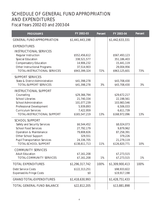# SCHEDULE OF GENERAL FUND APPROPRIATION AND EXPENDITURES Fiscal Years 2002-03 and 2003-04

| <b>PROGRAMS</b>                            | FY 2002-03      | <b>Percent</b> | FY 2003-04      | <b>Percent</b> |
|--------------------------------------------|-----------------|----------------|-----------------|----------------|
| <b>GENERAL FUND APPROPRIATION</b>          | \$1,441,443,198 |                | \$1,442,633,331 |                |
| <b>EXPENDITURES</b>                        |                 |                |                 |                |
| <b>INSTRUCTIONAL SERVICES</b>              |                 |                |                 |                |
| <b>Regular Instruction</b>                 | \$552,456,612   |                | \$567,493,123   |                |
| <b>Special Education</b>                   | 338,521,577     |                | 351,186,403     |                |
| <b>Compensatory Education</b>              | 14,906,232      |                | 15,441,119      |                |
| <b>Other Instructional Programs</b>        | 37,514,903      |                | 29,004,956      |                |
| TOTAL-INSTRUCTIONAL SERVICES               | \$943,399,324   | 72%            | \$963,125,601   | 73%            |
| <b>SUPPORT SERVICES</b>                    |                 |                |                 |                |
| <b>State &amp; District Administration</b> | \$41,398,278    |                | \$43,708,430    |                |
| <b>TOTAL-SUPPORT SERVICES</b>              | \$41,398,278    | 3%             | \$43,708,430    | 3%             |
| <b>INSTRUCTIONAL SUPPORT</b>               |                 |                |                 |                |
| Counseling                                 | \$29,366,794    |                | \$29,672,217    |                |
| <b>School Libraries</b>                    | 21,740,334      |                | 22,198,561      |                |
| <b>School Administration</b>               | 101,077,239     |                | 103,983,546     |                |
| <b>Professional Development</b>            | 5,939,893       |                | 6,506,033       |                |
| <b>Curriculum Services</b>                 | 7,422,959       |                | 6,611,739       |                |
| TOTAL-INSTRUCTIONAL SUPPORT                | \$165,547,219   | 13%            | \$168,972,096   | 13%            |
| <b>SCHOOL SUPPORT</b>                      |                 |                |                 |                |
| <b>Safety and Security Services</b>        | \$6,544,452     |                | \$8,024,073     |                |
| <b>School Food Services</b>                | 27,792,179      |                | 9,879,962       |                |
| <b>Operation &amp; Maintenance</b>         | 79,808,826      |                | 87,258,391      |                |
| <b>Other School Support</b>                | 329,551         |                | 379,226         |                |
| <b>Pupil Transportation Services</b>       | 24,336,705      |                | 21,279,119      |                |
| <b>TOTAL-SCHOOL SUPPORT</b>                | \$138,811,713   | 11%            | \$126,820,771   | 10%            |
| <b>COMMUNITY SERVICES</b>                  |                 |                |                 |                |
| <b>Adult Education</b>                     | \$7,161,208     |                | \$7,273,515     |                |
| TOTAL-COMMUNITY SERVICES                   | \$7,161,208     | 1%             | \$7,273,515     | 1%             |
| <b>TOTAL EXPENDITURES</b>                  | \$1,296,317,742 | 100%           | \$1,309,900,413 | 100%           |
| <b>Debt Service Costs</b>                  | \$122,313,251   |                | \$98,933,822    |                |
| <b>Expensed As Fringe Costs</b>            | \$0             |                | \$19,917,198    |                |
| <b>GRAND TOTAL EXPENDITURES</b>            | \$1,418,630,993 |                | \$1,428,751,433 |                |
| TOTAL GENERAL FUND BALANCE                 | \$22,812,205    |                | \$13,881,898    |                |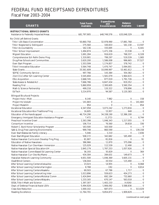## FEDERAL FUND RECEIPTS AND EXPENDITURES **Fiscal Year 2003-2004**

| <b>GRANTS</b>                         | <b>Total Funds</b><br><b>Available</b> | <b>Expenditures</b><br>and<br><b>Encumbrances</b> | <b>Balance</b><br><b>Available</b> | <b>Lapsed</b> |
|---------------------------------------|----------------------------------------|---------------------------------------------------|------------------------------------|---------------|
| <b>INSTRUCTIONAL SERVICE GRANTS</b>   |                                        |                                                   |                                    |               |
|                                       |                                        |                                                   |                                    |               |
|                                       |                                        |                                                   |                                    |               |
| No Child Left Behind Grants           |                                        |                                                   |                                    |               |
|                                       |                                        |                                                   |                                    |               |
|                                       |                                        |                                                   |                                    |               |
|                                       |                                        |                                                   |                                    |               |
|                                       |                                        |                                                   |                                    |               |
|                                       |                                        |                                                   |                                    |               |
|                                       |                                        |                                                   |                                    |               |
|                                       |                                        |                                                   |                                    |               |
|                                       |                                        |                                                   |                                    |               |
|                                       |                                        |                                                   |                                    |               |
|                                       |                                        |                                                   |                                    |               |
|                                       |                                        |                                                   |                                    |               |
|                                       |                                        |                                                   |                                    |               |
|                                       |                                        |                                                   |                                    |               |
|                                       |                                        |                                                   |                                    |               |
|                                       |                                        |                                                   |                                    |               |
|                                       |                                        |                                                   |                                    |               |
|                                       |                                        |                                                   |                                    |               |
| <b>Bilingual Bicultural Projects:</b> |                                        |                                                   |                                    |               |
|                                       |                                        |                                                   |                                    |               |
|                                       |                                        |                                                   |                                    |               |
|                                       |                                        |                                                   |                                    |               |
|                                       |                                        |                                                   |                                    |               |
|                                       |                                        |                                                   |                                    |               |
|                                       |                                        |                                                   |                                    |               |
|                                       |                                        |                                                   |                                    |               |
|                                       |                                        |                                                   |                                    |               |
|                                       |                                        |                                                   |                                    |               |
|                                       |                                        |                                                   |                                    |               |
|                                       |                                        |                                                   |                                    |               |
|                                       |                                        |                                                   |                                    |               |
|                                       |                                        |                                                   |                                    |               |
|                                       |                                        |                                                   |                                    |               |
|                                       |                                        |                                                   |                                    |               |
|                                       |                                        |                                                   |                                    |               |
|                                       |                                        |                                                   |                                    |               |
|                                       |                                        |                                                   |                                    |               |
|                                       |                                        |                                                   |                                    |               |
|                                       |                                        |                                                   |                                    |               |
|                                       |                                        |                                                   |                                    |               |
|                                       |                                        |                                                   |                                    |               |
|                                       |                                        |                                                   |                                    |               |
|                                       |                                        |                                                   |                                    |               |
|                                       |                                        |                                                   |                                    |               |
|                                       |                                        |                                                   |                                    |               |
|                                       |                                        |                                                   |                                    |               |
|                                       |                                        |                                                   |                                    |               |
|                                       |                                        |                                                   |                                    |               |
|                                       |                                        |                                                   |                                    |               |
|                                       |                                        |                                                   |                                    |               |
|                                       |                                        |                                                   |                                    |               |

(continued on next page)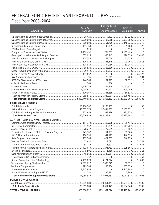# FEDERAL FUND RECEIPTS AND EXPENDITURES (*Continued*) Fiscal Year 2003- 2004

|                                              |                                        | <b>Expenditures</b>        |                                    |        |
|----------------------------------------------|----------------------------------------|----------------------------|------------------------------------|--------|
| <b>GRANTS</b>                                | <b>Total Funds</b><br><b>Available</b> | and<br><b>Encumbrances</b> | <b>Balance</b><br><b>Available</b> | Lapsed |
|                                              |                                        |                            |                                    |        |
|                                              |                                        |                            |                                    |        |
|                                              |                                        |                            |                                    |        |
|                                              |                                        |                            |                                    |        |
|                                              |                                        |                            |                                    |        |
|                                              |                                        |                            |                                    |        |
|                                              |                                        |                            |                                    |        |
|                                              |                                        |                            |                                    |        |
|                                              |                                        |                            |                                    |        |
|                                              |                                        |                            |                                    |        |
|                                              |                                        |                            |                                    |        |
|                                              |                                        |                            |                                    |        |
|                                              |                                        |                            |                                    |        |
|                                              |                                        |                            |                                    |        |
|                                              |                                        |                            |                                    |        |
|                                              |                                        |                            |                                    |        |
|                                              |                                        |                            |                                    |        |
|                                              |                                        |                            |                                    |        |
|                                              |                                        |                            |                                    |        |
|                                              |                                        |                            |                                    |        |
|                                              |                                        |                            |                                    |        |
|                                              |                                        |                            |                                    |        |
|                                              |                                        |                            |                                    |        |
| <b>FOOD SERVICE GRANTS</b>                   |                                        |                            |                                    |        |
|                                              |                                        |                            |                                    |        |
|                                              |                                        |                            |                                    |        |
|                                              |                                        |                            |                                    |        |
|                                              |                                        |                            |                                    |        |
| <b>ADMINISTRATIVE SUPPORT SERVICE GRANTS</b> |                                        |                            |                                    |        |
|                                              |                                        |                            |                                    |        |
|                                              |                                        |                            |                                    |        |
|                                              |                                        |                            |                                    |        |
|                                              |                                        |                            |                                    |        |
|                                              |                                        |                            |                                    |        |
|                                              |                                        |                            |                                    |        |
|                                              |                                        |                            |                                    |        |
|                                              |                                        |                            |                                    |        |
|                                              |                                        |                            |                                    |        |
|                                              |                                        |                            |                                    |        |
|                                              |                                        |                            |                                    |        |
|                                              |                                        |                            |                                    |        |
|                                              |                                        |                            |                                    |        |
|                                              |                                        |                            |                                    |        |
|                                              |                                        |                            |                                    |        |
|                                              |                                        |                            |                                    |        |
|                                              |                                        |                            |                                    |        |
|                                              |                                        |                            |                                    |        |
| <b>PUBLIC SERVICE GRANTS</b>                 |                                        |                            |                                    |        |
|                                              |                                        |                            |                                    |        |
|                                              |                                        |                            |                                    |        |
|                                              |                                        |                            |                                    |        |
|                                              |                                        |                            |                                    |        |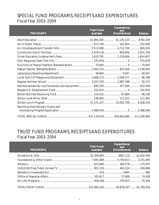## SPECIAL FUND PROGRAMS, RECEIPTS AND EXPENDITURES Fiscal Year 2003- 2004

| <b>PROGRAMS</b>                                                           | <b>Total Funds</b><br><b>Available</b> | <b>Expenditures</b><br>and<br><b>Encumbrances</b> | <b>Balance</b> |
|---------------------------------------------------------------------------|----------------------------------------|---------------------------------------------------|----------------|
|                                                                           |                                        |                                                   |                |
|                                                                           |                                        |                                                   |                |
|                                                                           |                                        |                                                   |                |
|                                                                           |                                        |                                                   |                |
|                                                                           |                                        |                                                   |                |
|                                                                           |                                        |                                                   |                |
|                                                                           |                                        |                                                   |                |
|                                                                           |                                        |                                                   |                |
|                                                                           |                                        |                                                   |                |
|                                                                           |                                        |                                                   |                |
|                                                                           |                                        |                                                   |                |
| Reimbursement for Lost Textbooks and Equipment  830,163  207,569  622,594 |                                        |                                                   |                |
|                                                                           |                                        |                                                   |                |
|                                                                           |                                        |                                                   |                |
|                                                                           |                                        |                                                   |                |
|                                                                           |                                        |                                                   |                |
| <b>Searching Discretionary Grants and</b>                                 |                                        |                                                   |                |
|                                                                           |                                        |                                                   |                |

#### TRUST FUND PROGRAMS, RECEIPTS AND EXPENDITURES Fiscal Year 2003- 2004

| <b>PROGRAMS</b> | Total Funds<br><b>Available</b> | <b>Expenditures</b><br>and 7<br><b>Encumbrances</b> | <b>Balance</b> |
|-----------------|---------------------------------|-----------------------------------------------------|----------------|
|                 |                                 |                                                     |                |
|                 |                                 |                                                     |                |
|                 |                                 |                                                     |                |
|                 |                                 |                                                     |                |
|                 |                                 |                                                     |                |
|                 |                                 |                                                     |                |
|                 |                                 |                                                     |                |
|                 |                                 |                                                     |                |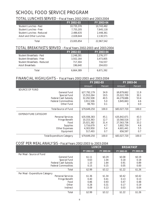## SCHOOL FOOD SERVICE PROGRAM

#### TOTAL LUNCHES SERVED - Fiscal Years 2002-2003 and 2003-2004

|                                  | <b>FY 2002-03</b> | <b>FY 2003-04</b> |
|----------------------------------|-------------------|-------------------|
| <b>Student Lunches - Paid</b>    | 10,735,370        | 10.743.492        |
| <b>Student Lunches - Free</b>    | 7,755,205         | 7,645,118         |
| <b>Student Lunches - Reduced</b> | 2.486.635         | 2,448,361         |
| <b>Adult and Other Lunches</b>   | 2.028.644         | 2,130,571         |
| Total                            | 23,005,854        | 22,967,542        |

#### TOTAL BREAKFASTS SERVED - Fiscal Years 2002-2003 and 2003-2004

|                                     | <b>FY 2002-03</b> | <b>FY 2003-04</b> |
|-------------------------------------|-------------------|-------------------|
| <b>Student Breakfasts - Paid</b>    | 2.248.281         | 2,276,377         |
| <b>Student Breakfasts - Free</b>    | 3,502,164         | 3,473,805         |
| <b>Student Breakfasts - Reduced</b> | 717.304           | 716,557           |
| <b>Adult Breakfasts</b>             | 196.640           | 204.653           |
| Total                               | 6.664.389         | 6,671,392         |

#### FINANCIAL HIGHLIGHTS - Fiscal Years 2002-2003 and 2003-2004

|                                   | FY 2002-03   |                |               | FY 2003-04 |
|-----------------------------------|--------------|----------------|---------------|------------|
|                                   | Amount       | <b>Percent</b> | <b>Amount</b> | Percent    |
| <b>SOURCE OF FUND</b>             |              |                |               |            |
| <b>General Fund</b>               | \$27,792,179 | 34.9           | \$9,879,662   | 11.9       |
| <b>Special Fund</b>               | 15,553,264   | 19.5           | 25,022,709    | 30.1       |
| <b>Federal Cash Subsidy</b>       | 32,292,508   | 40.5           | 44,279,686    | 53.4       |
| <b>Federal Commodities</b>        | 3,911,506    | 5.0            | 3,845,663     | 4.6        |
| <b>Other Fund</b>                 | 99.793       | 0.1            | $\bf{0}$      | 0.0        |
| <b>Total-Source of Fund</b>       | \$79,649,250 | 100.0          | \$83,027,720  | 100.0      |
| <b>EXPENDITURE CATEGORY</b>       |              |                |               |            |
| <b>Personal Services</b>          | \$35,936,383 | 45.1           | \$35,842,671  | 43.3       |
| <b>Fringe Benefit</b>             | 10,153,363   | 12.7           | 10,560,516    | 12.7       |
| Food                              | 25,021,382   | 31.4           | 27,563,736    | 33.2       |
| <b>Supplies</b>                   | 3,716,679    | 4.7            | 3,802,759     | 4.6        |
| <b>Other Expenses</b>             | 4,303,950    | 5.4            | 4,601,441     | 5.5        |
| Equipment                         | 517,493      | 0.7            | 656.597       | 0.7        |
| <b>Total-Expenditure Category</b> | \$79,649,250 | 100.0          | \$83,027,720  | 100.0      |

#### COST PER MEAL ANALYSIS - Fiscal Years 2002-2003 to 2003-2004

|                                 |                   | <b>LUNCH</b>      | <b>BREAKFAST</b> |                   |  |
|---------------------------------|-------------------|-------------------|------------------|-------------------|--|
|                                 | FY 2002-03        | FY 2003-04        | FY 2002-03       | FY 2003-04        |  |
| Per Meal - Source of Fund       |                   |                   |                  |                   |  |
| <b>General Fund</b>             | <b>S1.11</b>      | S <sub>0.29</sub> | <b>SO.08</b>     | S <sub>0.19</sub> |  |
| <b>Special Fund</b>             | 0.63              | 1.04              | 0.18             | 0.18              |  |
| <b>Federal Cash Subsidy</b>     | 1.10              | 1.64              | 0.91             | 0.89              |  |
| <b>Federal Commodities</b>      | 0.15              | 0.15              | 0.05             | 0.00              |  |
| <b>Total</b>                    | S <sub>2.99</sub> | <b>S3.12</b>      | \$1.22           | \$1.26            |  |
| Per Meal - Expenditure Category |                   |                   |                  |                   |  |
| <b>Personal Services</b>        | \$1.36            | \$1.34            | <b>SO.42</b>     | S <sub>0.42</sub> |  |
| <b>Fringe Benefit</b>           | 0.40              | 0.41              | 0.13             | 0.13              |  |
| Food                            | 0.86              | 0.93              | 0.47             | 0.48              |  |
| Other                           | 0.28              | 0.31              | 0.17             | 0.19              |  |
| <b>Indirect</b>                 | 0.09              | 0.13              | 0.03             | 0.04              |  |
| <b>Total</b>                    | S <sub>2.99</sub> | <b>S3.12</b>      | S1.22            | \$1.26            |  |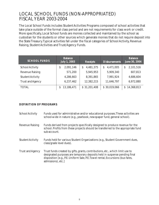#### LOCAL SCHOOL FUNDS (NON-APPROPRIATED) FISCAL YEAR 2003-2004

The Local School Funds includes Student Activities Programs composed of school activities that take place outside of the formal class period and are not requirements for class work or credit. More specifically, Local School funds are monies collected and maintained by the school as custodian for the students or other sources which generate monies that do not require deposit into the State Treasury. Typical activities fall under the fiscal categories of School Activity, Revenue Raising, Student Activities and Trust/Agency Funds.

| <b>SCHOOL FUNDS</b>     | <b>Balance</b><br><b>July 1, 2003</b> | <b>Receipts</b> | <b>Disbursements</b> | <b>Balance</b><br><b>June 30, 2004</b> |  |
|-------------------------|---------------------------------------|-----------------|----------------------|----------------------------------------|--|
| <b>School Activity</b>  | 2,091,146<br>\$                       | 4,481,375<br>S  | 4,471,005            | 2,101,516<br>S                         |  |
| <b>Revenue Raising</b>  | 571,200                               | 5,945,953       | 5,909,340            | 607,813                                |  |
| <b>Student Activity</b> | 4,286,663                             | 8,391,865       | 7,991,924            | 4,686,604                              |  |
| <b>Trust and Agency</b> | 6,237,462                             | 12,382,215      | 11,646,797           | 6,972,880                              |  |
| <b>TOTAL</b>            | 13,186,471<br>S                       | \$31,201,408    | \$30,019,066         | 14,368,813<br>S.                       |  |

#### **DEFINITION OF PROGRAMS**

| <b>School Activity</b>  | Funds used for administrative and/or educational purposes. These activities are<br>school-wide in nature (e.g., yearbook, newspaper fund, general school).                                                                                                          |
|-------------------------|---------------------------------------------------------------------------------------------------------------------------------------------------------------------------------------------------------------------------------------------------------------------|
| <b>Revenue Raising</b>  | Funds derived from projects specifically designed to produce revenue for the<br>school. Profits from these projects should be transferred to the appropriate fund<br>sub-account.                                                                                   |
| <b>Student Activity</b> | Funds held for various Student Organizations (e.g., Student Government dues,<br>class/grade level dues).                                                                                                                                                            |
| <b>Trust and Agency</b> | Trust funds created by gifts, grants, contributions, etc., which limit use to<br>designated purposes are temporary deposits held in suspense pending final<br>disposition [e.g., P.E. Uniform Sale, P.E. Towel rental, Excursions (bus fares,<br>admissions), etc.] |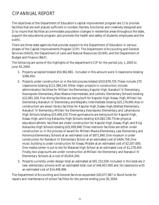# CIP ANNUAL REPORT

The objectives of the Department of Education's capital improvement program are 1) to provide facilities that are well placed, sufficient in number, flexible, functional, and creatively designed and 2) to insure that facilities accommodate population changes in residential areas throughout the state, support the educational program, and promote the health and safety of students, employees and the public.

There are three state agencies that provide support to the Department of Education in various phases of the Capital Improvements Program (CIP): The Department of Accounting and General Services (DAGS), the Department of Land and Natural Resources (DLNR), and the Department of Budget and Finance (B&F).

The following are some of the highlights of the department's CIP for the period July 1, 2003 to June 30, 2004.

- 1. Projects accepted totaled \$54,962,881. Included in this amount were 3 classrooms totaling \$396,454.
- 2. Projects under construction or in the bid process totaled \$310,978,725. These include 270 classrooms totaling \$112,384,144. Other major projects in construction include administration facilities for Mililani Ike Elementary, Kapolei High, Nanakuli IV Elementary, Keonepoko Elementary, Maui Waena Intermediate, and Leihoku Elementary Schools totaling \$12,081,326. Five dining facilities are being built for Kapolei High, Keaau High, Mililani Ike Elementary, Nanakuli IV Elementary, and Waipahu Intermediate totaling \$25,176,945. Also in construction are seven library facilities for Kapolei High, Keaau High, Waihee Elementary, Nanakuli IV Elementary, Mililani Ike Elementary, Keonepoko Elementary, and Lahainaluna High Schools totaling \$23,409,210. Three gymnasiums are being built for Kapolei High, Keaau High, and King Kekaulike High Schools totaling \$14,062,190. Three physical education/athletic facilities are under construction for Kapolei High, Keaau High, and King Kekaulike High Schools totaling \$25,009,948. Three restroom facilities are either under construction or in the process of award for Mililani Mauka Elementary, Laie Elementary, and Holomua Elementary Schools at an estimated cost of \$871,840. One museum is under construction for Nanakuli IV Elementary School at an estimated cost of \$404,759. One music building is under construction for Keaau Middle at an estimated cost of \$2,507.000. One media center is out to bid for Waianae High School at an estimated cost of \$1,278,455. Finally, two playcourts are under construction at Mililani Ike Elementary and Nanakuli IV Elementary Schools at a cost of \$4,624,240.
- 3. Projects currently under design total an estimated at \$91,152,026. Included in this total are 2 new elementary schools with an estimated total cost of \$49,927,000 and 19 classrooms with an estimated cost of \$14,499,996.

The Department of Accounting and General Services expended \$20,077,967 in Bond funds for repairs and maintenance of school facilities for the period ending June 30, 2004.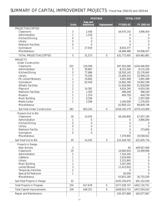## SUMMARY OF CAPITAL IMPROVEMENT PROJECTS - Fiscal Year 2002-03 and 2003-04

|                                              |                                | <b>FOOTAGE</b>                      |                    | <b>TOTAL COST</b>      |                        |  |
|----------------------------------------------|--------------------------------|-------------------------------------|--------------------|------------------------|------------------------|--|
|                                              | <b>Units</b>                   | <b>New and</b><br><b>Additional</b> | <b>Replacement</b> | FY2002-03              | FY 2003-04             |  |
| PROJECTS ACCEPTED                            |                                |                                     |                    |                        |                        |  |
| <b>Classrooms</b>                            | 3                              | 2,436                               |                    | \$4,670,142            | \$396,454              |  |
| Administration                               | $\mathbf{1}$                   | 1,218                               |                    | $\bf{0}$               | $\bf{0}$               |  |
| Kitchen/Dinning                              | $\bf{0}$                       | $\bf{0}$                            |                    | $\bf{0}$               | $\boldsymbol{0}$       |  |
| Library                                      | $\bf{0}$                       | $\bf{0}$                            |                    | $\bf{0}$               | $\bf{0}$               |  |
| <b>Restroom Facilities</b>                   | $\bf{0}$                       | $\bf{0}$                            |                    | $\bf{0}$               | $\boldsymbol{0}$       |  |
| Gymnasium                                    | $\mathbf{1}$                   | 27,919                              |                    | 8,635,377              | $\bf{0}$               |  |
| <b>Miscellaneous</b>                         |                                |                                     |                    | 18,466,486             | 54,566,427             |  |
| <b>TOTAL PROJECTS ACCEPTED</b>               | $\overline{5}$                 | 31,573                              | $\bf{0}$           | \$31,772,005           | \$54,962,881           |  |
| <b>PROJECTS</b>                              |                                |                                     |                    |                        |                        |  |
| <b>Under Construction</b>                    |                                |                                     |                    |                        |                        |  |
| <b>Classrooms</b>                            | 252                            | 319,509                             |                    | \$97,563,090           | \$104,446,950          |  |
| <b>Administration</b>                        | $\overline{5}$                 | 30,667                              |                    | 8,115,326              | 8,115,326              |  |
| Kitchen/Dining                               | $\overline{5}$                 | 77,686                              |                    | 18,550,145             | 25,176,945             |  |
| Library                                      | $\overline{7}$                 | 75,549                              |                    | 23,409,210             | 23,409,210             |  |
| P.E. Locker/Showers                          | $\mathbf{1}$                   | 10,683                              |                    | 3,091,948              | 3,091,948              |  |
| Gymnasium                                    | $\overline{3}$                 | 62,429                              |                    | 14,062,190             | 14,062,190             |  |
| <b>Athletic Facilities</b>                   | $\overline{2}$                 |                                     |                    | 21,918,000             | 21,918,000             |  |
| Playcourt<br><b>Restroom Facilities</b>      | $\overline{c}$                 | 14,391                              |                    | 4,624,240              | 4,624,240              |  |
|                                              | $\overline{c}$<br>$\mathbf{1}$ | 1,350                               |                    | 498,240                | 498,240                |  |
| <b>Museum</b>                                | $\mathbf{1}$                   | 1,374<br>6,336                      |                    | 404,759<br>$\bf{0}$    | 404,759                |  |
| <b>Music Building</b><br><b>Media Center</b> | $\mathbf{1}$                   | 3,269                               |                    | 1,240,000              | 2,507,000<br>1,278,455 |  |
| <b>Miscellaneous</b>                         |                                |                                     |                    | 62,858,131             | 69,609,746             |  |
|                                              |                                |                                     |                    |                        |                        |  |
| <b>Sub-Total Under Construction</b>          | 282                            | 603,243                             | $\bf{0}$           | \$256,335,279          | \$279,143,009          |  |
| Projects Out to Bid                          |                                |                                     |                    |                        |                        |  |
| <b>Classrooms</b>                            | 18                             | 14,435                              |                    | \$8,166,800            | \$7,937,194            |  |
| Administration                               | $\mathbf{1}$                   | $\boldsymbol{0}$                    |                    | $\bf{0}$               | 3,966,000              |  |
| <b>Kitchen/Dining</b>                        | $\bf{0}$                       | $\bf{0}$                            |                    | $\bf{0}$               | $\bf{0}$               |  |
| Library                                      | $\bf{0}$                       | $\bf{0}$                            |                    | $\bf{0}$               | $\bf{0}$               |  |
| <b>Restroom Facility</b>                     | $\mathbf{1}$                   | $\bf{0}$                            |                    | $\bf{0}$               | 373,600                |  |
| Gymnasium<br><b>Miscellaneous</b>            | $\bf{0}$                       | $\bf{0}$                            |                    | $\bf{0}$               | $\bf{0}$               |  |
|                                              |                                |                                     |                    | 7,379,992              | 19,558,922             |  |
| Sub-Total Out to Bid                         | 20                             | 14,435                              | $\pmb{0}$          | \$15,546,792           | \$31,835,716           |  |
| <b>Projects in Design</b>                    |                                |                                     |                    |                        |                        |  |
| <b>New Schools</b>                           | $\boldsymbol{2}$               |                                     |                    | \$0                    | \$49,927,000           |  |
| <b>Classrooms</b>                            | 19                             |                                     |                    | 14,840,916             | 14,499,996             |  |
| Administration<br>Cafeteria                  | $\overline{c}$                 |                                     |                    | 7,334,345              | $\bf{0}$               |  |
| Library                                      | $\mathbf{1}$<br>$\mathbf{1}$   |                                     |                    | 2,919,000<br>2,231,845 | $\bf{0}$<br>0          |  |
| <b>Music Building</b>                        | $\mathbf{1}$                   |                                     |                    | 2,507,000              | 0                      |  |
| Locker/Shower                                | 3                              |                                     |                    | 11,413,910             | $\boldsymbol{0}$       |  |
| <b>Temporary Facilities</b>                  | $\overline{c}$                 |                                     |                    | $\mathbf{0}$           | 0                      |  |
| <b>Special Ed Restroom</b>                   | $\mathbf{1}$                   |                                     |                    | 56,500                 | $\bf{0}$               |  |
| <b>Miscellaneous</b>                         |                                |                                     |                    | 63,853,160             | 26,725,030             |  |
| <b>Sub-Total Projects in Design</b>          | 32                             |                                     |                    | \$105,156,676          | \$91,152,026           |  |
| <b>Total Projects in Progress</b>            | 334                            | 617,678                             | $\pmb{0}$          | \$377,038,747          | \$402,130,751          |  |
| <b>Total Capital Improvements</b>            | 339                            | 649,251                             | $\pmb{0}$          | \$408,810,752          | \$457,093,632          |  |
| <b>Repair and Maintenance</b>                |                                |                                     |                    | \$35,357,868           | \$20,077,967           |  |
|                                              |                                |                                     |                    |                        |                        |  |